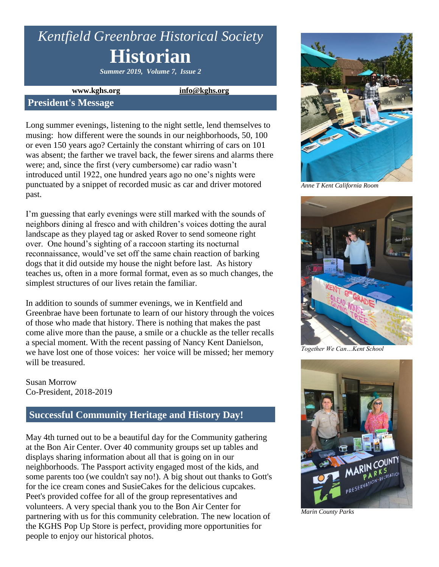# *Kentfield Greenbrae Historical Society* **Historian**

*Summer 2019, Volume 7, Issue 2*

**www.kghs.org [info@kghs.org](mailto:info@kghs.org)**

### **President's Message**

Long summer evenings, listening to the night settle, lend themselves to musing: how different were the sounds in our neighborhoods, 50, 100 or even 150 years ago? Certainly the constant whirring of cars on 101 was absent; the farther we travel back, the fewer sirens and alarms there were; and, since the first (very cumbersome) car radio wasn't introduced until 1922, one hundred years ago no one's nights were punctuated by a snippet of recorded music as car and driver motored past.

I'm guessing that early evenings were still marked with the sounds of neighbors dining al fresco and with children's voices dotting the aural landscape as they played tag or asked Rover to send someone right over. One hound's sighting of a raccoon starting its nocturnal reconnaissance, would've set off the same chain reaction of barking dogs that it did outside my house the night before last. As history teaches us, often in a more formal format, even as so much changes, the simplest structures of our lives retain the familiar.

In addition to sounds of summer evenings, we in Kentfield and Greenbrae have been fortunate to learn of our history through the voices of those who made that history. There is nothing that makes the past come alive more than the pause, a smile or a chuckle as the teller recalls a special moment. With the recent passing of Nancy Kent Danielson, we have lost one of those voices: her voice will be missed; her memory will be treasured.

Susan Morrow Co-President, 2018-2019

### **Successful Community Heritage and History Day!**

May 4th turned out to be a beautiful day for the Community gathering at the Bon Air Center. Over 40 community groups set up tables and displays sharing information about all that is going on in our neighborhoods. The Passport activity engaged most of the kids, and some parents too (we couldn't say no!). A big shout out thanks to Gott's for the ice cream cones and SusieCakes for the delicious cupcakes. Peet's provided coffee for all of the group representatives and volunteers. A very special thank you to the Bon Air Center for partnering with us for this community celebration. The new location of the KGHS Pop Up Store is perfect, providing more opportunities for people to enjoy our historical photos.



*Anne T Kent California Room*



*Together We Can…Kent School*



*Marin County Parks*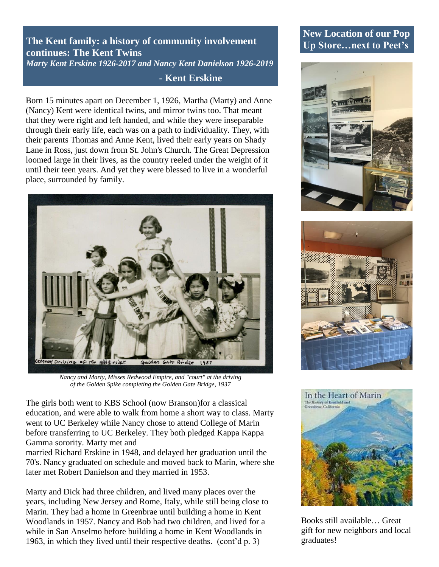**The Kent family: a history of community involvement continues: The Kent Twins** *Marty Kent Erskine 1926-2017 and Nancy Kent Danielson 1926-2019*

### **- Kent Erskine**

Born 15 minutes apart on December 1, 1926, Martha (Marty) and Anne (Nancy) Kent were identical twins, and mirror twins too. That meant that they were right and left handed, and while they were inseparable through their early life, each was on a path to individuality. They, with their parents Thomas and Anne Kent, lived their early years on Shady Lane in Ross, just down from St. John's Church. The Great Depression loomed large in their lives, as the country reeled under the weight of it until their teen years. And yet they were blessed to live in a wonderful place, surrounded by family.



*Nancy and Marty, Misses Redwood Empire, and "court" at the driving of the Golden Spike completing the Golden Gate Bridge, 1937*

The girls both went to KBS School (now Branson)for a classical education, and were able to walk from home a short way to class. Marty went to UC Berkeley while Nancy chose to attend College of Marin before transferring to UC Berkeley. They both pledged Kappa Kappa Gamma sorority. Marty met and

married Richard Erskine in 1948, and delayed her graduation until the 70's. Nancy graduated on schedule and moved back to Marin, where she later met Robert Danielson and they married in 1953.

Marty and Dick had three children, and lived many places over the years, including New Jersey and Rome, Italy, while still being close to Marin. They had a home in Greenbrae until building a home in Kent Woodlands in 1957. Nancy and Bob had two children, and lived for a while in San Anselmo before building a home in Kent Woodlands in 1963, in which they lived until their respective deaths. (cont'd p. 3)

### **New Location of our Pop Up Store…next to Peet's**







Books still available… Great gift for new neighbors and local graduates!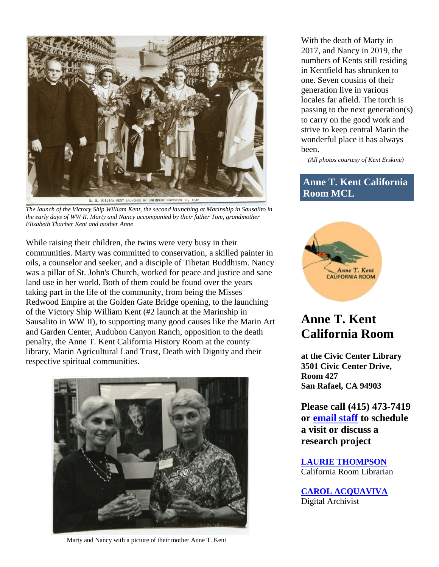

*The launch of the Victory Ship William Kent, the second launching at Marinship in Sausalito in the early days of WW II. Marty and Nancy accompanied by their father Tom, grandmother Elizabeth Thacher Kent and mother Anne*

While raising their children, the twins were very busy in their communities. Marty was committed to conservation, a skilled painter in oils, a counselor and seeker, and a disciple of Tibetan Buddhism. Nancy was a pillar of St. John's Church, worked for peace and justice and sane land use in her world. Both of them could be found over the years taking part in the life of the community, from being the Misses Redwood Empire at the Golden Gate Bridge opening, to the launching of the Victory Ship William Kent (#2 launch at the Marinship in Sausalito in WW II), to supporting many good causes like the Marin Art and Garden Center, Audubon Canyon Ranch, opposition to the death penalty, the Anne T. Kent California History Room at the county library, Marin Agricultural Land Trust, Death with Dignity and their respective spiritual communities.



Marty and Nancy with a picture of their mother Anne T. Kent

With the death of Marty in 2017, and Nancy in 2019, the numbers of Kents still residing in Kentfield has shrunken to one. Seven cousins of their generation live in various locales far afield. The torch is passing to the next generation(s) to carry on the good work and strive to keep central Marin the wonderful place it has always been.

*(All photos courtesy of Kent Erskine)*

### **Anne T. Kent California Room MCL**



## **Anne T. Kent California Room**

**at the Civic Center Library 3501 Civic Center Drive, Room 427 San Rafael, CA 94903**

**Please call (415) 473-7419 or [email staff](https://marinlibrary.org/contact/) to schedule a visit or discuss a research project**

**[LAURIE THOMPSON](https://marinlibrary.org/contact/)** California Room Librarian

**[CAROL ACQUAVIVA](https://marinlibrary.org/contact/)** Digital Archivist